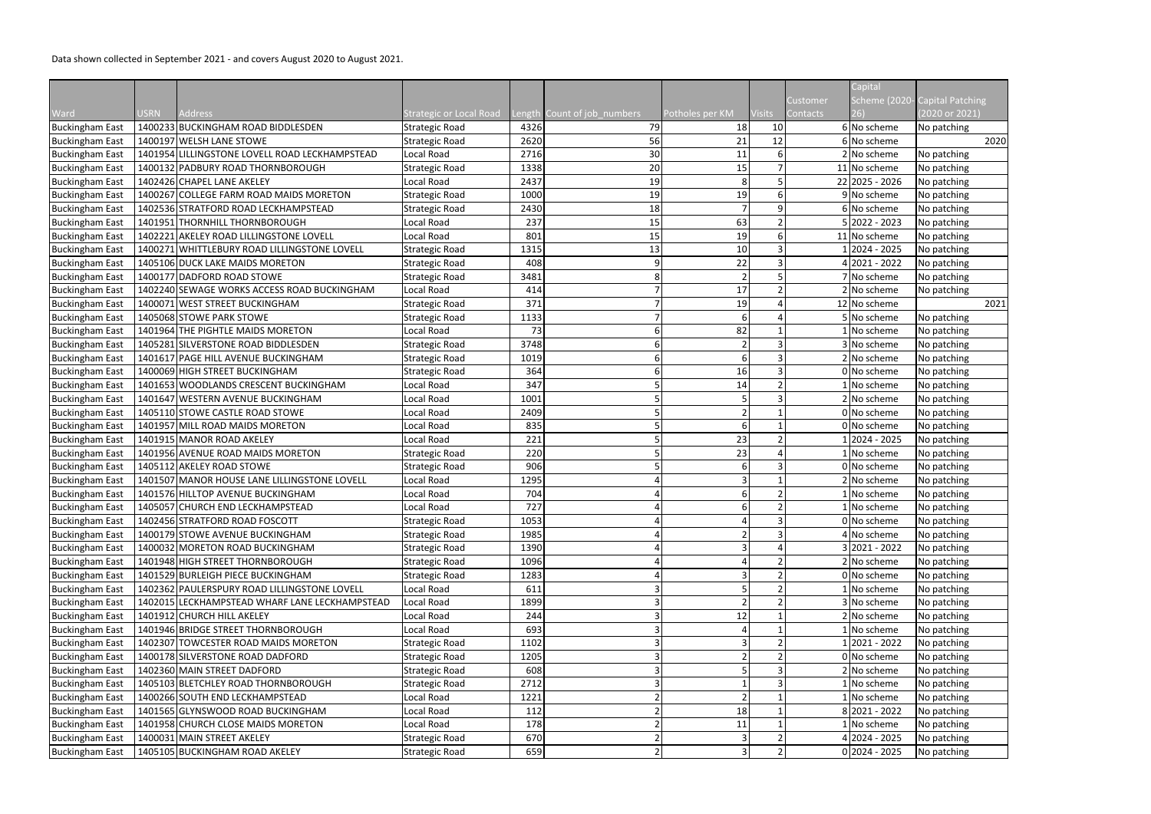Data shown collected in September 2021 - and covers August 2020 to August 2021.

|                        |                                                |                                |      |                             |                 |               | Customer | Capital<br>Scheme (2020- | <b>Capital Patching</b> |
|------------------------|------------------------------------------------|--------------------------------|------|-----------------------------|-----------------|---------------|----------|--------------------------|-------------------------|
| Ward                   | <b>USRN</b><br><b>Address</b>                  | <b>Strategic or Local Road</b> |      | Length Count of job_numbers | Potholes per KM | <b>Visits</b> | Contacts |                          | 2020 or 2021)           |
| <b>Buckingham East</b> | 1400233 BUCKINGHAM ROAD BIDDLESDEN             | <b>Strategic Road</b>          | 4326 | 79                          | 18              | 10            |          | 6 No scheme              | No patching             |
| <b>Buckingham East</b> | 1400197 WELSH LANE STOWE                       | <b>Strategic Road</b>          | 2620 | 56                          | 21              | 12            |          | 6 No scheme              | 2020                    |
| <b>Buckingham East</b> | 1401954 LILLINGSTONE LOVELL ROAD LECKHAMPSTEAD | Local Road                     | 2716 | 30                          | 11              |               |          | 2 No scheme              | No patching             |
| <b>Buckingham East</b> | 1400132 PADBURY ROAD THORNBOROUGH              | Strategic Road                 | 1338 | 20                          | 15              |               |          | 11 No scheme             | No patching             |
| <b>Buckingham East</b> | 1402426 CHAPEL LANE AKELEY                     | Local Road                     | 2437 | 19                          | 8               |               |          | 22 2025 - 2026           | No patching             |
| <b>Buckingham East</b> | 1400267 COLLEGE FARM ROAD MAIDS MORETON        | Strategic Road                 | 1000 | 19                          | 19              |               |          | 9 No scheme              | No patching             |
| <b>Buckingham East</b> | 1402536 STRATFORD ROAD LECKHAMPSTEAD           | Strategic Road                 | 2430 | 18                          | $\overline{7}$  |               |          | 6 No scheme              | No patching             |
| <b>Buckingham East</b> | 1401951 THORNHILL THORNBOROUGH                 | Local Road                     | 237  | 15                          | 63              |               |          | $5 2022 - 2023$          | No patching             |
| <b>Buckingham East</b> | 1402221 AKELEY ROAD LILLINGSTONE LOVELL        | Local Road                     | 801  | 15                          | 19              |               |          | 11 No scheme             | No patching             |
| <b>Buckingham East</b> | 1400271 WHITTLEBURY ROAD LILLINGSTONE LOVELL   | <b>Strategic Road</b>          | 1315 | 13                          | 10              |               |          | 2024 - 2025              | No patching             |
| <b>Buckingham East</b> | 1405106 DUCK LAKE MAIDS MORETON                | Strategic Road                 | 408  |                             | 22              |               |          | 2021 - 2022              | No patching             |
| <b>Buckingham East</b> | 1400177 DADFORD ROAD STOWE                     | Strategic Road                 | 3481 |                             | $\overline{2}$  |               |          | No scheme                | No patching             |
| <b>Buckingham East</b> | 1402240 SEWAGE WORKS ACCESS ROAD BUCKINGHAM    | Local Road                     | 414  |                             | 17              |               |          | 2 No scheme              | No patching             |
| <b>Buckingham East</b> | 1400071 WEST STREET BUCKINGHAM                 | Strategic Road                 | 371  |                             | 19              |               |          | 12 No scheme             | 2021                    |
| <b>Buckingham East</b> | 1405068 STOWE PARK STOWE                       | Strategic Road                 | 1133 |                             | 6               |               |          | 5 No scheme              | No patching             |
| <b>Buckingham East</b> | 1401964 THE PIGHTLE MAIDS MORETON              | Local Road                     | 73   |                             | 82              |               |          | 1 No scheme              | No patching             |
| <b>Buckingham East</b> | 1405281 SILVERSTONE ROAD BIDDLESDEN            | Strategic Road                 | 3748 |                             |                 |               |          | 3 No scheme              | No patching             |
| <b>Buckingham East</b> | 1401617 PAGE HILL AVENUE BUCKINGHAM            | Strategic Road                 | 1019 |                             | 6               |               |          | 2 No scheme              | No patching             |
| <b>Buckingham East</b> | 1400069 HIGH STREET BUCKINGHAM                 | <b>Strategic Road</b>          | 364  |                             | 16              |               |          | 0 No scheme              | No patching             |
| <b>Buckingham East</b> | 1401653 WOODLANDS CRESCENT BUCKINGHAM          | Local Road                     | 347  |                             | 14              |               |          | No scheme                | No patching             |
| <b>Buckingham East</b> | 1401647 WESTERN AVENUE BUCKINGHAM              | Local Road                     | 1001 |                             |                 |               |          | 2 No scheme              | No patching             |
| <b>Buckingham East</b> | 1405110 STOWE CASTLE ROAD STOWE                | Local Road                     | 2409 |                             | $\overline{2}$  |               |          | 0 No scheme              | No patching             |
| <b>Buckingham East</b> | 1401957 MILL ROAD MAIDS MORETON                | Local Road                     | 835  |                             | 6               |               |          | 0 No scheme              | No patching             |
| <b>Buckingham East</b> | 1401915 MANOR ROAD AKELEY                      | Local Road                     | 221  |                             | 23              |               |          | 2024 - 2025              | No patching             |
| <b>Buckingham East</b> | 1401956 AVENUE ROAD MAIDS MORETON              | Strategic Road                 | 220  |                             | 23              |               |          | 1 No scheme              | No patching             |
| <b>Buckingham East</b> | 1405112 AKELEY ROAD STOWE                      | Strategic Road                 | 906  |                             | 6               |               |          | 0 No scheme              | No patching             |
| <b>Buckingham East</b> | 1401507 MANOR HOUSE LANE LILLINGSTONE LOVELL   | Local Road                     | 1295 |                             | 3               |               |          | 2 No scheme              | No patching             |
| <b>Buckingham East</b> | 1401576 HILLTOP AVENUE BUCKINGHAM              | Local Road                     | 704  |                             | 6               |               |          | LNo scheme               | No patching             |
| <b>Buckingham East</b> | 1405057 CHURCH END LECKHAMPSTEAD               | Local Road                     | 727  |                             |                 |               |          | 1 No scheme              | No patching             |
| <b>Buckingham East</b> | 1402456 STRATFORD ROAD FOSCOTT                 | <b>Strategic Road</b>          | 1053 |                             | 4               |               |          | 0 No scheme              | No patching             |
| <b>Buckingham East</b> | 1400179 STOWE AVENUE BUCKINGHAM                | Strategic Road                 | 1985 |                             |                 |               |          | 4 No scheme              | No patching             |
| <b>Buckingham East</b> | 1400032 MORETON ROAD BUCKINGHAM                | Strategic Road                 | 1390 |                             |                 |               |          | 3 2021 - 2022            | No patching             |
| <b>Buckingham East</b> | 1401948 HIGH STREET THORNBOROUGH               | Strategic Road                 | 1096 |                             |                 |               |          | 2 No scheme              | No patching             |
| <b>Buckingham East</b> | 1401529 BURLEIGH PIECE BUCKINGHAM              | Strategic Road                 | 1283 |                             | 3               |               |          | 0 No scheme              | No patching             |
| <b>Buckingham East</b> | 1402362 PAULERSPURY ROAD LILLINGSTONE LOVELL   | Local Road                     | 611  |                             |                 |               |          | No scheme                | No patching             |
| <b>Buckingham East</b> | 1402015 LECKHAMPSTEAD WHARF LANE LECKHAMPSTEAD | Local Road                     | 1899 |                             | $\mathfrak{p}$  |               |          | 3 No scheme              | No patching             |
| <b>Buckingham East</b> | 1401912 CHURCH HILL AKELEY                     | Local Road                     | 244  |                             | 12              |               |          | 2 No scheme              | No patching             |
| <b>Buckingham East</b> | 1401946 BRIDGE STREET THORNBOROUGH             | Local Road                     | 693  |                             |                 |               |          | No scheme                | No patching             |
| <b>Buckingham East</b> | 1402307 TOWCESTER ROAD MAIDS MORETON           | Strategic Road                 | 1102 |                             | 3               |               |          | 2021 - 2022              | No patching             |
| <b>Buckingham East</b> | 1400178 SILVERSTONE ROAD DADFORD               | <b>Strategic Road</b>          | 1205 |                             | $\mathfrak{p}$  |               |          | 0 No scheme              | No patching             |
| <b>Buckingham East</b> | 1402360 MAIN STREET DADFORD                    | Strategic Road                 | 608  |                             |                 |               |          | 2 No scheme              | No patching             |
| <b>Buckingham East</b> | 1405103 BLETCHLEY ROAD THORNBOROUGH            | Strategic Road                 | 2712 |                             |                 |               |          | No scheme                | No patching             |
| <b>Buckingham East</b> | 1400266 SOUTH END LECKHAMPSTEAD                | Local Road                     | 1221 |                             |                 |               |          | LNo scheme               | No patching             |
| <b>Buckingham East</b> | 1401565 GLYNSWOOD ROAD BUCKINGHAM              | Local Road                     | 112  |                             | 18              |               |          | 8 2021 - 2022            | No patching             |
| <b>Buckingham East</b> | 1401958 CHURCH CLOSE MAIDS MORETON             | Local Road                     | 178  |                             | 11              |               |          | No scheme                | No patching             |
| <b>Buckingham East</b> | 1400031 MAIN STREET AKELEY                     | Strategic Road                 | 670  |                             | 3               |               |          | 4 2024 - 2025            | No patching             |
| <b>Buckingham East</b> | 1405105 BUCKINGHAM ROAD AKELEY                 | Strategic Road                 | 659  |                             | 3               |               |          | $0$  2024 - 2025         | No patching             |